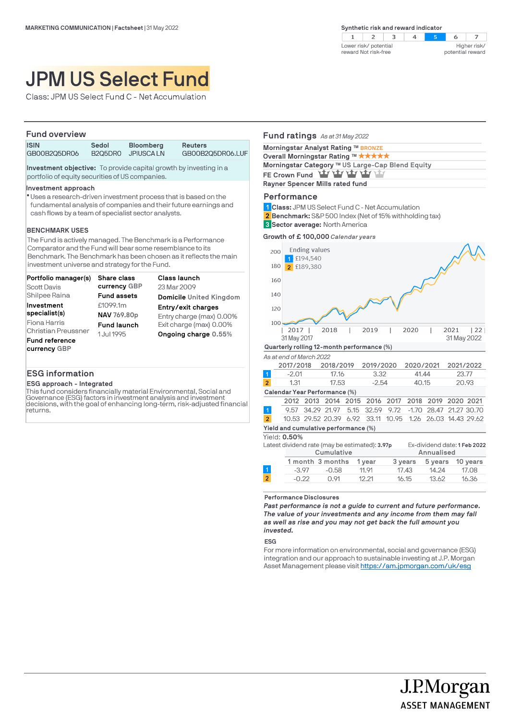Class: JPM US Select Fund C - Net Accumulation

# **Fund overview ISIN Sedol Bloomberg Reuters** GB00B2Q5DR06.LUF **Investment objective:** To provide capital growth by investing in a portfolio of equity securities of US companies.

#### **Investment approach**

Uses a research-driven investment process that is based on the l fundamental analysis of companies and their future earnings and cash flows by a team of specialist sector analysts.

### **BENCHMARK USES**

The Fund is actively managed. The Benchmark is a Performance Comparator and the Fund will bear some resemblance to its Benchmark. The Benchmark has been chosen as it reflects the main investment universe and strategy for the Fund.

| Portfolio manager(s)       | <b>Share class</b> | Class launch             |
|----------------------------|--------------------|--------------------------|
| <b>Scott Davis</b>         | currency GBP       | 23 Mar 2009              |
| Shilpee Raina              | <b>Fund assets</b> | Domicile United Kingdom  |
| Investment                 | £1099.1m           | Entry/exit charges       |
| specialist(s)              | NAV 769.80p        | Entry charge (max) 0.00% |
| Fiona Harris               | <b>Fund launch</b> | Exit charge (max) 0.00%  |
| <b>Christian Preussner</b> | 1 Jul 1995         | Ongoing charge 0.55%     |
| Fund reference             |                    |                          |
| currency GBP               |                    |                          |

# **ESG information**

### **ESG approach - Integrated**

This fund considers financially material Environmental, Social and Governance (ESG) factors in investment analysis and investment decisions, with the goal of enhancing long-term, risk-adjusted financial returns.

# **Fund ratings** *As at 31 May 2022* **Morningstar Analyst Rating ™ BRONZE**

| Overall Morningstar Rating ™ ★★★★★               |
|--------------------------------------------------|
| Morningstar Category ™ US Large-Cap Blend Equity |
| FE Crown Fund Yay Yay Yay Yay Yay                |
| Rayner Spencer Mills rated fund                  |
|                                                  |

Lower risk/ potential reward Not risk-free

 $\mathbf{1}$ 

## **Performance**

**Class:** JPM US Select Fund C - Net Accumulation **1**

**Benchmark:** S&P 500 Index (Net of 15% withholding tax) **2**

**Sector average:** North America **3**



*As at end of March 2022*

|                               | 2017/2018 | 2018/2019 | 2019/2020 | 2020/2021 | 2021/2022 |
|-------------------------------|-----------|-----------|-----------|-----------|-----------|
| $\vert$ 1                     | $-2.01$   | 17.16     | 3.32      | 41.44     | 23.77     |
| $\overline{2}$                | 1.31      | 17.53     | $-2.54$   | 40.15     | 20.93     |
| Calendar Year Performance (%) |           |           |           |           |           |

|                                      |  |  |  |  | 2012 2013 2014 2015 2016 2017 2018 2019 2020 2021         |  |  |  |
|--------------------------------------|--|--|--|--|-----------------------------------------------------------|--|--|--|
| $\overline{1}$                       |  |  |  |  | 9.57 34.29 21.97 5.15 32.59 9.72 -1.70 28.47 21.27 30.70  |  |  |  |
| $\sqrt{2}$                           |  |  |  |  | 10.53 29.52 20.39 6.92 33.11 10.95 1.26 26.03 14.43 29.62 |  |  |  |
| Yield and cumulative performance (%) |  |  |  |  |                                                           |  |  |  |

Yield: **0.50%**

|                | Latest dividend rate (may be estimated): 3.97p |                  |        |         |            | Ex-dividend date: 1 Feb 2022 |
|----------------|------------------------------------------------|------------------|--------|---------|------------|------------------------------|
|                | Cumulative                                     |                  |        |         | Annualised |                              |
|                |                                                | 1 month 3 months | 1 vear | 3 years | 5 years    | 10 vears                     |
|                | $-3.97$                                        | $-0.58$          | 11.91  | 17.43   | 14.24      | 17.08                        |
| $\overline{2}$ | $-0.22$                                        | $\bigcap$ 91     | 12 21  | 16.15   | 13.62      | 16.36                        |
|                |                                                |                  |        |         |            |                              |

#### **Performance Disclosures**

*Past performance is not a guide to current and future performance. The value of your investments and any income from them may fall as well as rise and you may not get back the full amount you invested.* 

**ESG**

For more information on environmental, social and governance (ESG) integration and our approach to sustainable investing at J.P. Morgan Asset Management please visit https://am.jpmorgan.com/uk/esg

> J.P.Morgan **ASSET MANAGEMENT**

 $\overline{z}$ Higher risk/ potential reward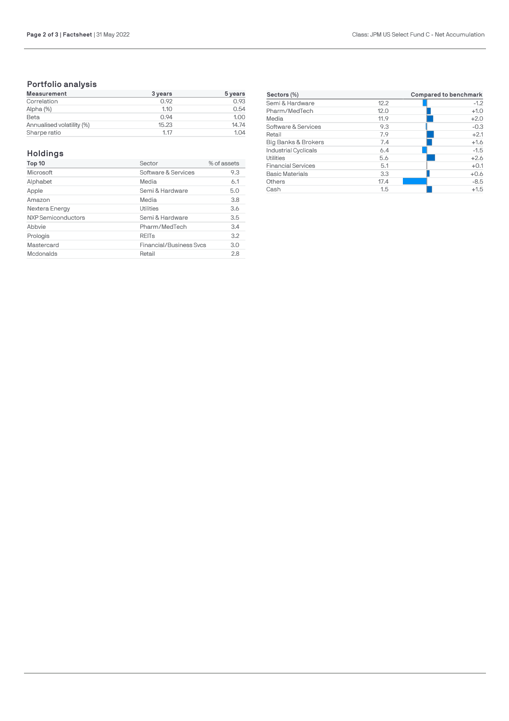# **Portfolio analysis**

| Measurement               | 3 years | $5 \,\mathrm{years}$ |
|---------------------------|---------|----------------------|
| Correlation               | 0.92    | 0.93                 |
| Alpha (%)                 | 1.10    | 0.54                 |
| Beta                      | 0.94    | 1.00                 |
| Annualised volatility (%) | 15.23   | 14.74                |
| Sharpe ratio              | 1.17    | 1.04                 |

# **Holdings**

| Top 10             | Sector                         | % of assets |
|--------------------|--------------------------------|-------------|
| Microsoft          | Software & Services            | 9.3         |
| Alphabet           | Media                          | 6.1         |
| Apple              | Semi & Hardware                | 5.0         |
| Amazon             | Media                          | 3.8         |
| Nextera Energy     | Utilities                      | 3.6         |
| NXP Semiconductors | Semi & Hardware                | 3.5         |
| Abbvie             | Pharm/MedTech                  | 3.4         |
| Prologis           | <b>REITs</b>                   | 3.2         |
| Mastercard         | <b>Financial/Business Svcs</b> | 3.0         |
| Mcdonalds          | Retail                         | 2.8         |

| Sectors (%)                 |      | Compared to benchmark |
|-----------------------------|------|-----------------------|
| Semi & Hardware             | 12.2 | $-1.2$                |
| Pharm/MedTech               | 12.0 | $+1.0$                |
| Media                       | 11.9 | $+2.0$                |
| Software & Services         | 9.3  | $-0.3$                |
| Retail                      | 7.9  | $+2.1$                |
| Big Banks & Brokers         | 7.4  | $+1.6$                |
| <b>Industrial Cyclicals</b> | 6.4  | $-1.5$                |
| Utilities                   | 5.6  | $+2.6$                |
| <b>Financial Services</b>   | 5.1  | $+0.1$                |
| <b>Basic Materials</b>      | 3.3  | $+0.6$                |
| Others                      | 17.4 | $-8.5$                |
| Cash                        | 1.5  | $+1.5$                |